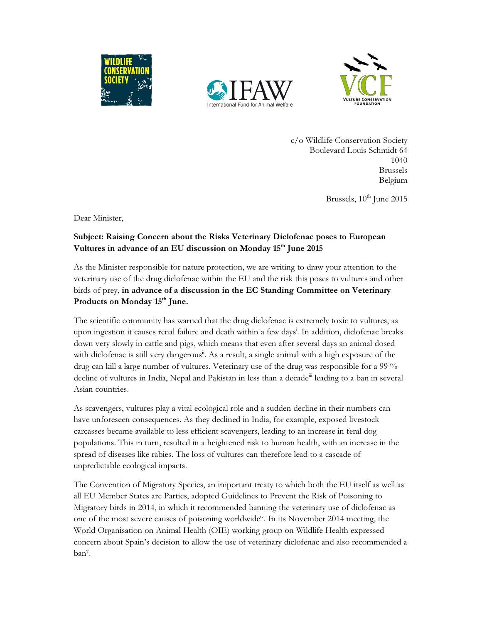





c/o Wildlife Conservation Society Boulevard Louis Schmidt 64 1040 Brussels Belgium

Brussels,  $10^{th}$  June 2015

Dear Minister,

## Subject: Raising Concern about the Risks Veterinary Diclofenac poses to European Vultures in advance of an EU discussion on Monday  $15<sup>th</sup>$  June 2015

As the Minister responsible for nature protection, we are writing to draw your attention to the veterinary use of the drug diclofenac within the EU and the risk this poses to vultures and other birds of prey, in advance of a discussion in the EC Standing Committee on Veterinary Products on Monday 15<sup>th</sup> June.

The scientific community has warned that the drug diclofenac is extremely toxic to vultures, as upon ingestion it causes renal failure and death within a few days<sup>i</sup>. In addition, diclofenac breaks down very slowly in cattle and pigs, which means that even after several days an animal dosed with diclofenac is still very dangerous<sup>ii</sup>. As a result, a single animal with a high exposure of the drug can kill a large number of vultures. Veterinary use of the drug was responsible for a 99 % decline of vultures in India, Nepal and Pakistan in less than a decade<sup>"</sup> leading to a ban in several Asian countries.

As scavengers, vultures play a vital ecological role and a sudden decline in their numbers can have unforeseen consequences. As they declined in India, for example, exposed livestock carcasses became available to less efficient scavengers, leading to an increase in feral dog populations. This in turn, resulted in a heightened risk to human health, with an increase in the spread of diseases like rabies. The loss of vultures can therefore lead to a cascade of unpredictable ecological impacts.

The Convention of Migratory Species, an important treaty to which both the EU itself as well as all EU Member States are Parties, adopted Guidelines to Prevent the Risk of Poisoning to Migratory birds in 2014, in which it recommended banning the veterinary use of diclofenac as one of the most severe causes of poisoning worldwide<sup>iv</sup>. In its November 2014 meeting, the World Organisation on Animal Health (OIE) working group on Wildlife Health expressed concern about Spain's decision to allow the use of veterinary diclofenac and also recommended a ban<sup>v</sup>.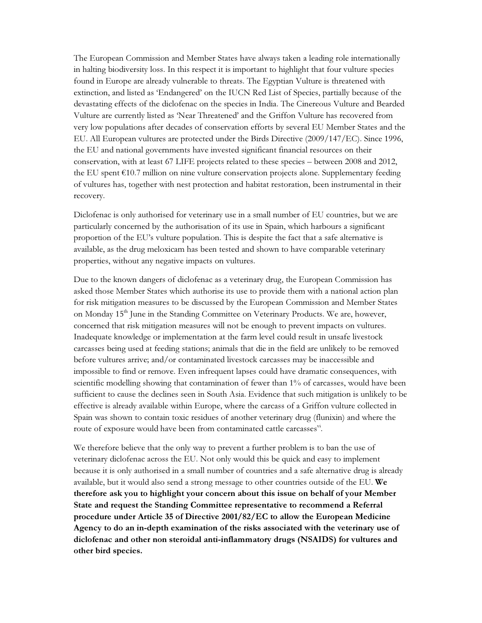The European Commission and Member States have always taken a leading role internationally in halting biodiversity loss. In this respect it is important to highlight that four vulture species found in Europe are already vulnerable to threats. The Egyptian Vulture is threatened with extinction, and listed as 'Endangered' on the IUCN Red List of Species, partially because of the devastating effects of the diclofenac on the species in India. The Cinereous Vulture and Bearded Vulture are currently listed as 'Near Threatened' and the Griffon Vulture has recovered from very low populations after decades of conservation efforts by several EU Member States and the EU. All European vultures are protected under the Birds Directive (2009/147/EC). Since 1996, the EU and national governments have invested significant financial resources on their conservation, with at least 67 LIFE projects related to these species – between 2008 and 2012, the EU spent €10.7 million on nine vulture conservation projects alone. Supplementary feeding of vultures has, together with nest protection and habitat restoration, been instrumental in their recovery.

Diclofenac is only authorised for veterinary use in a small number of EU countries, but we are particularly concerned by the authorisation of its use in Spain, which harbours a significant proportion of the EU's vulture population. This is despite the fact that a safe alternative is available, as the drug meloxicam has been tested and shown to have comparable veterinary properties, without any negative impacts on vultures.

Due to the known dangers of diclofenac as a veterinary drug, the European Commission has asked those Member States which authorise its use to provide them with a national action plan for risk mitigation measures to be discussed by the European Commission and Member States on Monday 15<sup>th</sup> June in the Standing Committee on Veterinary Products. We are, however, concerned that risk mitigation measures will not be enough to prevent impacts on vultures. Inadequate knowledge or implementation at the farm level could result in unsafe livestock carcasses being used at feeding stations; animals that die in the field are unlikely to be removed before vultures arrive; and/or contaminated livestock carcasses may be inaccessible and impossible to find or remove. Even infrequent lapses could have dramatic consequences, with scientific modelling showing that contamination of fewer than 1% of carcasses, would have been sufficient to cause the declines seen in South Asia. Evidence that such mitigation is unlikely to be effective is already available within Europe, where the carcass of a Griffon vulture collected in Spain was shown to contain toxic residues of another veterinary drug (flunixin) and where the route of exposure would have been from contaminated cattle carcasses".

We therefore believe that the only way to prevent a further problem is to ban the use of veterinary diclofenac across the EU. Not only would this be quick and easy to implement because it is only authorised in a small number of countries and a safe alternative drug is already available, but it would also send a strong message to other countries outside of the EU. We therefore ask you to highlight your concern about this issue on behalf of your Member State and request the Standing Committee representative to recommend a Referral procedure under Article 35 of Directive 2001/82/EC to allow the European Medicine Agency to do an in-depth examination of the risks associated with the veterinary use of diclofenac and other non steroidal anti-inflammatory drugs (NSAIDS) for vultures and other bird species.